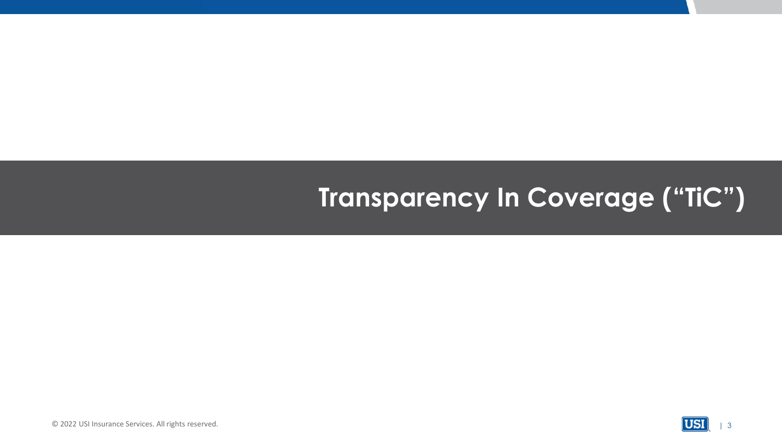# **Transparency In Coverage ("TiC")**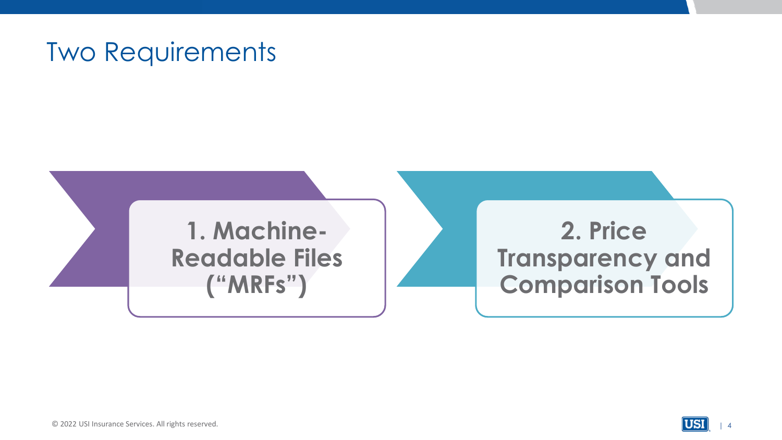### Two Requirements



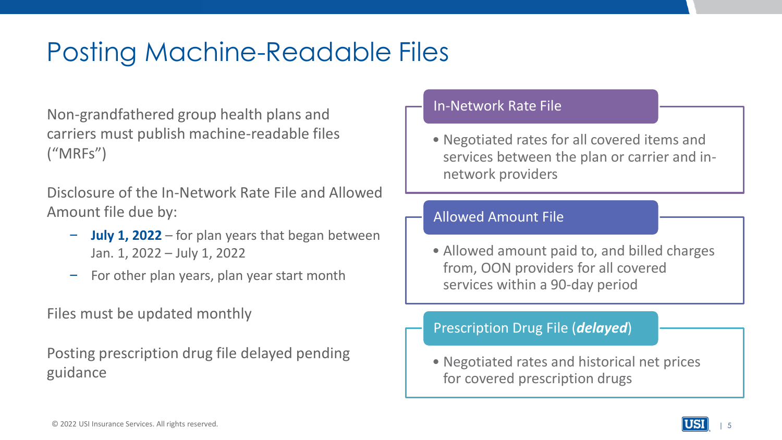### Posting Machine-Readable Files

Non-grandfathered group health plans and carriers must publish machine-readable files ("MRFs")

Disclosure of the In-Network Rate File and Allowed Amount file due by:

- **July 1, 2022**  for plan years that began between Jan. 1, 2022 – July 1, 2022
- For other plan years, plan year start month

Files must be updated monthly

Posting prescription drug file delayed pending guidance

#### In-Network Rate File

• Negotiated rates for all covered items and services between the plan or carrier and innetwork providers

#### Allowed Amount File

• Allowed amount paid to, and billed charges from, OON providers for all covered services within a 90-day period

#### Prescription Drug File (*delayed*)

• Negotiated rates and historical net prices for covered prescription drugs

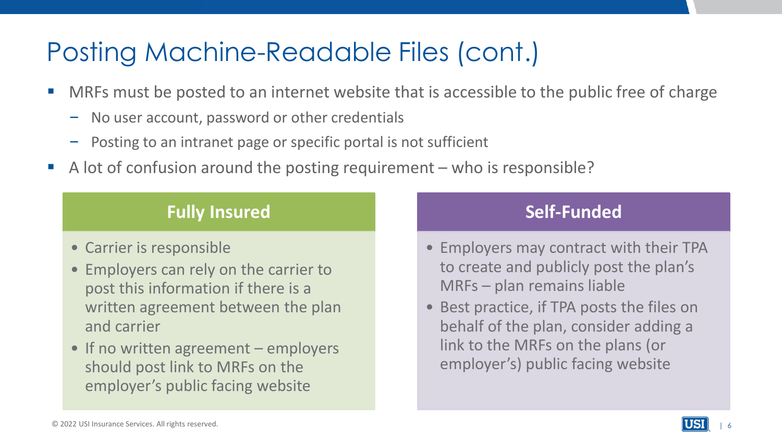## Posting Machine-Readable Files (cont.)

- MRFs must be posted to an internet website that is accessible to the public free of charge
	- No user account, password or other credentials
	- Posting to an intranet page or specific portal is not sufficient
- A lot of confusion around the posting requirement who is responsible?

### **Fully Insured**

- Carrier is responsible
- Employers can rely on the carrier to post this information if there is a written agreement between the plan and carrier
- If no written agreement employers should post link to MRFs on the employer's public facing website

### **Self-Funded**

- Employers may contract with their TPA to create and publicly post the plan's MRFs – plan remains liable
- Best practice, if TPA posts the files on behalf of the plan, consider adding a link to the MRFs on the plans (or employer's) public facing website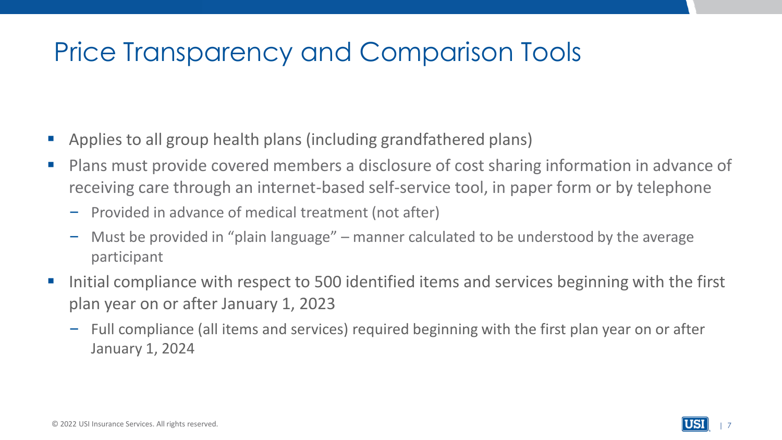# Price Transparency and Comparison Tools

- Applies to all group health plans (including grandfathered plans)
- Plans must provide covered members a disclosure of cost sharing information in advance of receiving care through an internet-based self-service tool, in paper form or by telephone
	- Provided in advance of medical treatment (not after)
	- Must be provided in "plain language" manner calculated to be understood by the average participant
- Initial compliance with respect to 500 identified items and services beginning with the first plan year on or after January 1, 2023
	- Full compliance (all items and services) required beginning with the first plan year on or after January 1, 2024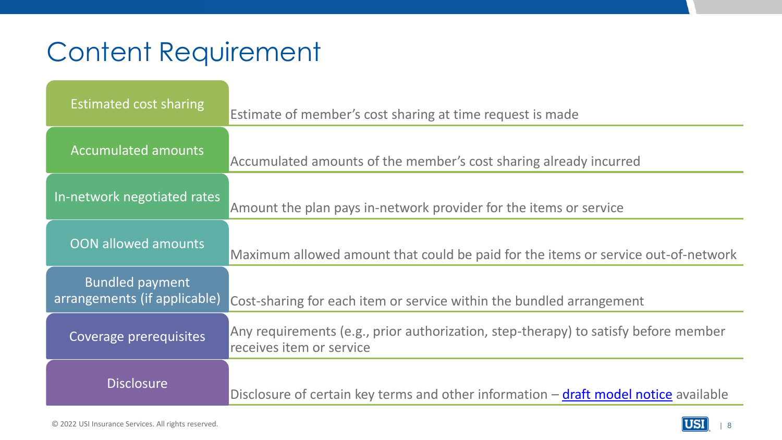# Content Requirement

| Estimated cost sharing                                 | Estimate of member's cost sharing at time request is made                                                       |
|--------------------------------------------------------|-----------------------------------------------------------------------------------------------------------------|
| <b>Accumulated amounts</b>                             | Accumulated amounts of the member's cost sharing already incurred                                               |
| In-network negotiated rates                            | Amount the plan pays in-network provider for the items or service                                               |
| <b>OON allowed amounts</b>                             | Maximum allowed amount that could be paid for the items or service out-of-network                               |
| <b>Bundled payment</b><br>arrangements (if applicable) | Cost-sharing for each item or service within the bundled arrangement                                            |
| Coverage prerequisites                                 | Any requirements (e.g., prior authorization, step-therapy) to satisfy before member<br>receives item or service |
| <b>Disclosure</b>                                      | Disclosure of certain key terms and other information $-\frac{draft \text{ model notice}}{dt}$ available        |

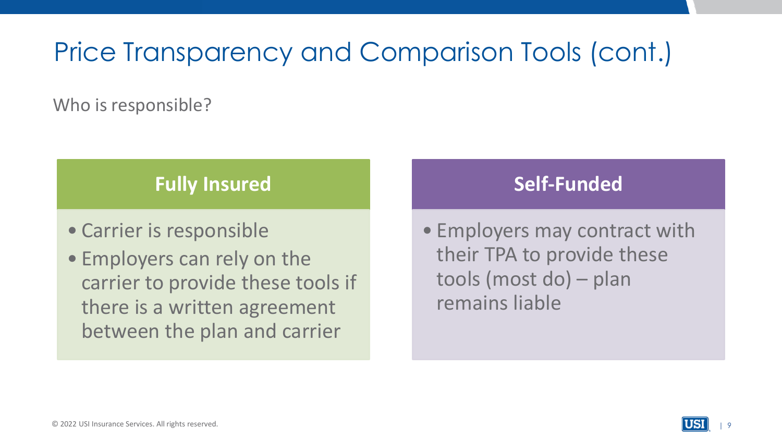# Price Transparency and Comparison Tools (cont.)

Who is responsible?

### **Fully Insured**

- Carrier is responsible
- Employers can rely on the carrier to provide these tools if there is a written agreement between the plan and carrier

### **Self-Funded**

• Employers may contract with their TPA to provide these tools (most do) – plan remains liable

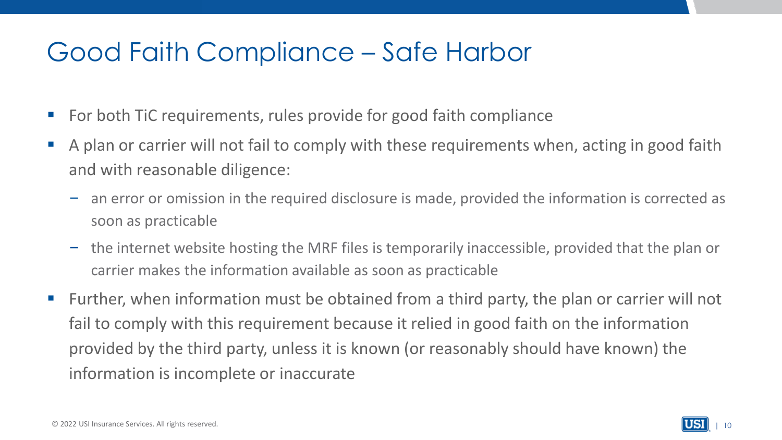### Good Faith Compliance – Safe Harbor

- For both TiC requirements, rules provide for good faith compliance
- A plan or carrier will not fail to comply with these requirements when, acting in good faith and with reasonable diligence:
	- an error or omission in the required disclosure is made, provided the information is corrected as soon as practicable
	- the internet website hosting the MRF files is temporarily inaccessible, provided that the plan or carrier makes the information available as soon as practicable
- Further, when information must be obtained from a third party, the plan or carrier will not fail to comply with this requirement because it relied in good faith on the information provided by the third party, unless it is known (or reasonably should have known) the information is incomplete or inaccurate